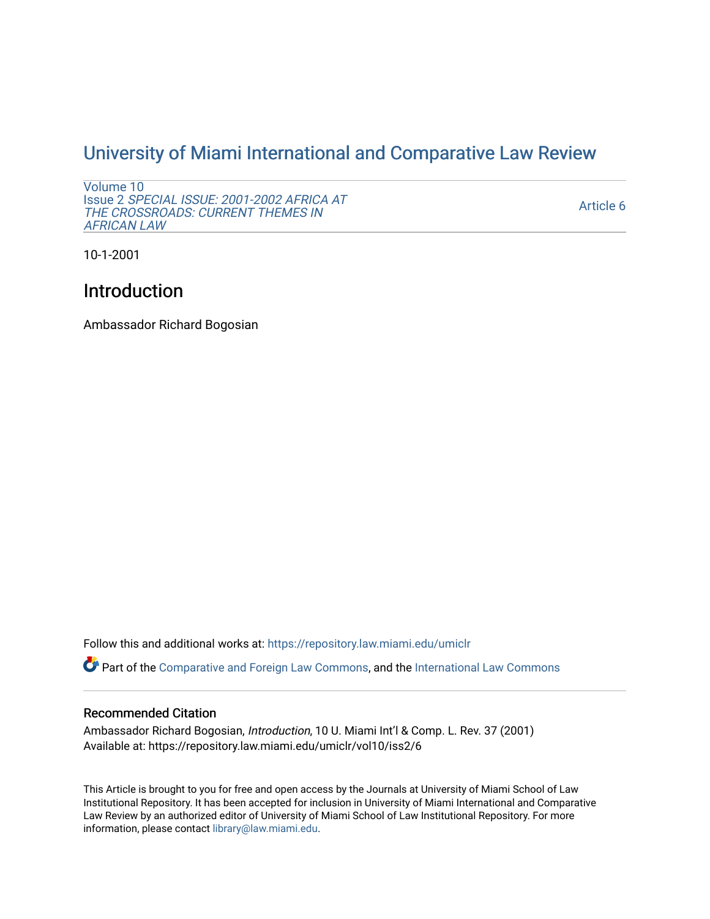## [University of Miami International and Comparative Law Review](https://repository.law.miami.edu/umiclr)

[Volume 10](https://repository.law.miami.edu/umiclr/vol10) Issue 2 [SPECIAL ISSUE: 2001-2002 AFRICA AT](https://repository.law.miami.edu/umiclr/vol10/iss2)  [THE CROSSROADS: CURRENT THEMES IN](https://repository.law.miami.edu/umiclr/vol10/iss2) [AFRICAN LAW](https://repository.law.miami.edu/umiclr/vol10/iss2) 

[Article 6](https://repository.law.miami.edu/umiclr/vol10/iss2/6) 

10-1-2001

## Introduction

Ambassador Richard Bogosian

Follow this and additional works at: [https://repository.law.miami.edu/umiclr](https://repository.law.miami.edu/umiclr?utm_source=repository.law.miami.edu%2Fumiclr%2Fvol10%2Fiss2%2F6&utm_medium=PDF&utm_campaign=PDFCoverPages)

Part of the [Comparative and Foreign Law Commons,](http://network.bepress.com/hgg/discipline/836?utm_source=repository.law.miami.edu%2Fumiclr%2Fvol10%2Fiss2%2F6&utm_medium=PDF&utm_campaign=PDFCoverPages) and the [International Law Commons](http://network.bepress.com/hgg/discipline/609?utm_source=repository.law.miami.edu%2Fumiclr%2Fvol10%2Fiss2%2F6&utm_medium=PDF&utm_campaign=PDFCoverPages)

## Recommended Citation

Ambassador Richard Bogosian, Introduction, 10 U. Miami Int'l & Comp. L. Rev. 37 (2001) Available at: https://repository.law.miami.edu/umiclr/vol10/iss2/6

This Article is brought to you for free and open access by the Journals at University of Miami School of Law Institutional Repository. It has been accepted for inclusion in University of Miami International and Comparative Law Review by an authorized editor of University of Miami School of Law Institutional Repository. For more information, please contact [library@law.miami.edu](mailto:library@law.miami.edu).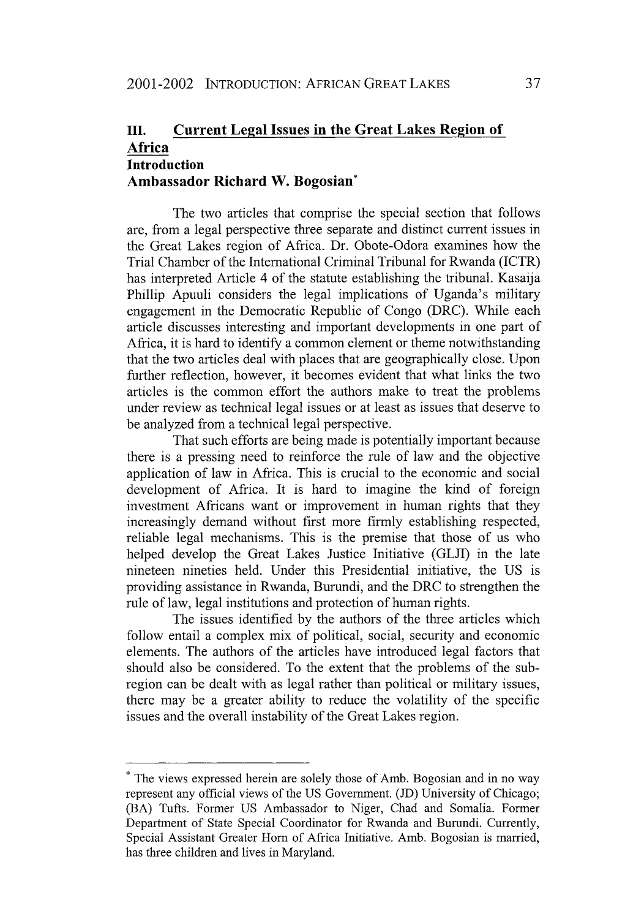## **Ill. Current Legal Issues in the Great Lakes Region of Africa Introduction Ambassador Richard W. Bogosian\***

The two articles that comprise the special section that follows are, from a legal perspective three separate and distinct current issues in the Great Lakes region of Africa. Dr. Obote-Odora examines how the Trial Chamber of the International Criminal Tribunal for Rwanda (ICTR) has interpreted Article 4 of the statute establishing the tribunal. Kasaija Phillip Apuuli considers the legal implications of Uganda's military engagement in the Democratic Republic of Congo (DRC). While each article discusses interesting and important developments in one part of Africa, it is hard to identify a common element or theme notwithstanding that the two articles deal with places that are geographically close. Upon further reflection, however, it becomes evident that what links the two articles is the common effort the authors make to treat the problems under review as technical legal issues or at least as issues that deserve to be analyzed from a technical legal perspective.

That such efforts are being made is potentially important because there is a pressing need to reinforce the rule of law and the objective application of law in Africa. This is crucial to the economic and social development of Africa. It is hard to imagine the kind of foreign investment Africans want or improvement in human rights that they increasingly demand without first more firmly establishing respected, reliable legal mechanisms. This is the premise that those of us who helped develop the Great Lakes Justice Initiative **(GLJI)** in the late nineteen nineties held. Under this Presidential initiative, the **US** is providing assistance in Rwanda, Burundi, and the DRC to strengthen the rule of law, legal institutions and protection of human rights.

The issues identified **by** the authors of the three articles which follow entail a complex mix of political, social, security and economic elements. The authors of the articles have introduced legal factors that should also be considered. To the extent that the problems of the subregion can be dealt with as legal rather than political or military issues, there may be a greater ability to reduce the volatility of the specific issues and the overall instability of the Great Lakes region.

**<sup>\*</sup>** The views expressed herein are solely those of Amb. Bogosian and in no way represent any official views of the US Government. (JD) University of Chicago; (BA) Tufts. Former US Ambassador to Niger, Chad and Somalia. Former Department of State Special Coordinator for Rwanda and Burundi. Currently, Special Assistant Greater Horn of Africa Initiative. Amb. Bogosian is married, has three children and lives in Maryland.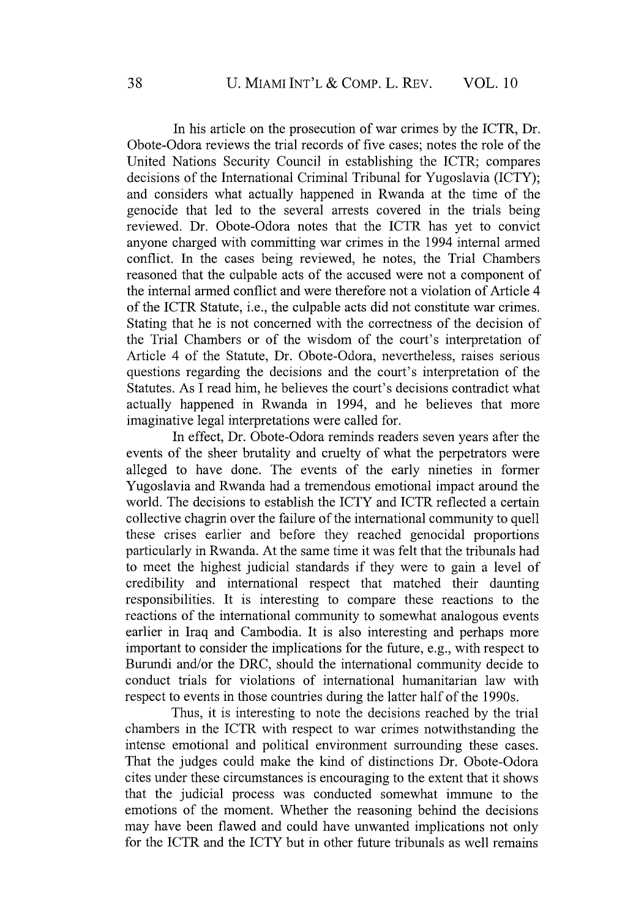In his article on the prosecution of war crimes by the ICTR, Dr. Obote-Odora reviews the trial records of five cases; notes the role of the United Nations Security Council in establishing the ICTR; compares decisions of the International Criminal Tribunal for Yugoslavia (ICTY); and considers what actually happened in Rwanda at the time of the genocide that led to the several arrests covered in the trials being reviewed. Dr. Obote-Odora notes that the ICTR has yet to convict anyone charged with committing war crimes in the 1994 internal armed conflict. In the cases being reviewed, he notes, the Trial Chambers reasoned that the culpable acts of the accused were not a component of the internal armed conflict and were therefore not a violation of Article 4 of the ICTR Statute, i.e., the culpable acts did not constitute war crimes. Stating that he is not concerned with the correctness of the decision of the Trial Chambers or of the wisdom of the court's interpretation of Article 4 of the Statute, Dr. Obote-Odora, nevertheless, raises serious questions regarding the decisions and the court's interpretation of the Statutes. As I read him, he believes the court's decisions contradict what actually happened in Rwanda in 1994, and he believes that more imaginative legal interpretations were called for.

In effect, Dr. Obote-Odora reminds readers seven years after the events of the sheer brutality and cruelty of what the perpetrators were alleged to have done. The events of the early nineties in former Yugoslavia and Rwanda had a tremendous emotional impact around the world. The decisions to establish the ICTY and ICTR reflected a certain collective chagrin over the failure of the international community to quell these crises earlier and before they reached genocidal proportions particularly in Rwanda. At the same time it was felt that the tribunals had to meet the highest judicial standards if they were to gain a level of credibility and international respect that matched their daunting responsibilities. It is interesting to compare these reactions to the reactions of the international community to somewhat analogous events earlier in Iraq and Cambodia. It is also interesting and perhaps more important to consider the implications for the future, e.g., with respect to Burundi and/or the DRC, should the international community decide to conduct trials for violations of international humanitarian law with respect to events in those countries during the latter half of the 1990s.

Thus, it is interesting to note the decisions reached by the trial chambers in the ICTR with respect to war crimes notwithstanding the intense emotional and political environment surrounding these cases. That the judges could make the kind of distinctions Dr. Obote-Odora cites under these circumstances is encouraging to the extent that it shows that the judicial process was conducted somewhat immune to the emotions of the moment. Whether the reasoning behind the decisions may have been flawed and could have unwanted implications not only for the ICTR and the ICTY but in other future tribunals as well remains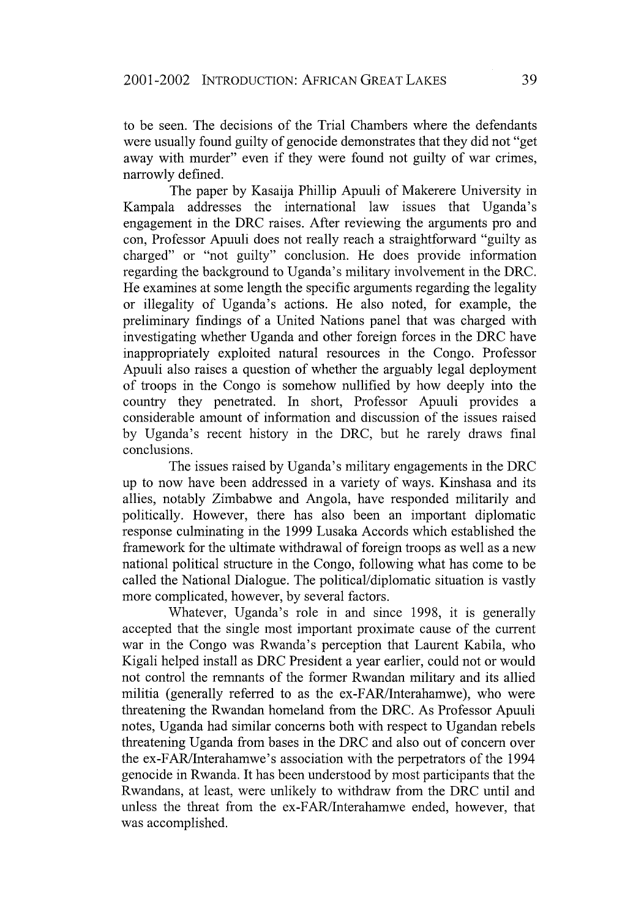to be seen. The decisions of the Trial Chambers where the defendants were usually found guilty of genocide demonstrates that they did not "get away with murder" even if they were found not guilty of war crimes, narrowly defined.

The paper by Kasaija Phillip Apuuli of Makerere University in Kampala addresses the international law issues that Uganda's engagement in the DRC raises. After reviewing the arguments pro and con, Professor Apuuli does not really reach a straightforward "guilty as charged" or "not guilty" conclusion. He does provide information regarding the background to Uganda's military involvement in the DRC. He examines at some length the specific arguments regarding the legality or illegality of Uganda's actions. He also noted, for example, the preliminary findings of a United Nations panel that was charged with investigating whether Uganda and other foreign forces in the DRC have inappropriately exploited natural resources in the Congo. Professor Apuuli also raises a question of whether the arguably legal deployment of troops in the Congo is somehow nullified by how deeply into the country they penetrated. In short, Professor Apuuli provides a considerable amount of information and discussion of the issues raised by Uganda's recent history in the DRC, but he rarely draws final conclusions.

The issues raised by Uganda's military engagements in the DRC up to now have been addressed in a variety of ways. Kinshasa and its allies, notably Zimbabwe and Angola, have responded militarily and politically. However, there has also been an important diplomatic response culminating in the 1999 Lusaka Accords which established the framework for the ultimate withdrawal of foreign troops as well as a new national political structure in the Congo, following what has come to be called the National Dialogue. The political/diplomatic situation is vastly more complicated, however, by several factors.

Whatever, Uganda's role in and since 1998, it is generally accepted that the single most important proximate cause of the current war in the Congo was Rwanda's perception that Laurent Kabila, who Kigali helped install as DRC President a year earlier, could not or would not control the remnants of the former Rwandan military and its allied militia (generally referred to as the ex-FAR/Interahamwe), who were threatening the Rwandan homeland from the DRC. As Professor Apuuli notes, Uganda had similar concerns both with respect to Ugandan rebels threatening Uganda from bases in the DRC and also out of concern over the ex-FAR/Interahamwe's association with the perpetrators of the 1994 genocide in Rwanda. It has been understood by most participants that the Rwandans, at least, were unlikely to withdraw from the DRC until and unless the threat from the ex-FAR/Interahamwe ended, however, that was accomplished.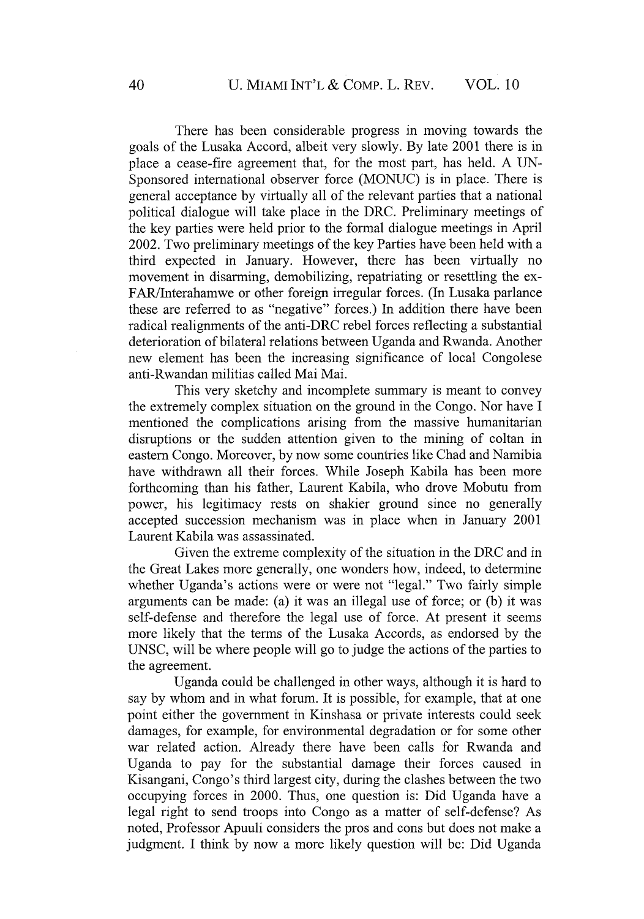There has been considerable progress in moving towards the goals of the Lusaka Accord, albeit very slowly. By late 2001 there is in place a cease-fire agreement that, for the most part, has held. A UN-Sponsored international observer force (MONUC) is in place. There is general acceptance by virtually all of the relevant parties that a national political dialogue will take place in the DRC. Preliminary meetings of the key parties were held prior to the formal dialogue meetings in April 2002. Two preliminary meetings of the key Parties have been held with a third expected in January. However, there has been virtually no movement in disarming, demobilizing, repatriating or resettling the ex-FARlInterahamwe or other foreign irregular forces. (In Lusaka parlance these are referred to as "negative" forces.) In addition there have been radical realignments of the anti-DRC rebel forces reflecting a substantial deterioration of bilateral relations between Uganda and Rwanda. Another new element has been the increasing significance of local Congolese anti-Rwandan militias called Mai Mai.

This very sketchy and incomplete summary is meant to convey the extremely complex situation on the ground in the Congo. Nor have I mentioned the complications arising from the massive humanitarian disruptions or the sudden attention given to the mining of coltan in eastern Congo. Moreover, by now some countries like Chad and Namibia have withdrawn all their forces. While Joseph Kabila has been more forthcoming than his father, Laurent Kabila, who drove Mobutu from power, his legitimacy rests on shakier ground since no generally accepted succession mechanism was in place when in January 2001 Laurent Kabila was assassinated.

Given the extreme complexity of the situation in the DRC and in the Great Lakes more generally, one wonders how, indeed, to determine whether Uganda's actions were or were not "legal." Two fairly simple arguments can be made: (a) it was an illegal use of force; or (b) it was self-defense and therefore the legal use of force. At present it seems more likely that the terms of the Lusaka Accords, as endorsed by the UNSC, will be where people will go to judge the actions of the parties to the agreement.

Uganda could be challenged in other ways, although it is hard to say by whom and in what forum. It is possible, for example, that at one point either the government in Kinshasa or private interests could seek damages, for example, for environmental degradation or for some other war related action. Already there have been calls for Rwanda and Uganda to pay for the substantial damage their forces caused in Kisangani, Congo's third largest city, during the clashes between the two occupying forces in 2000. Thus, one question is: Did Uganda have a legal right to send troops into Congo as a matter of self-defense? As noted, Professor Apuuli considers the pros and cons but does not make a judgment. I think by now a more likely question will be: Did Uganda